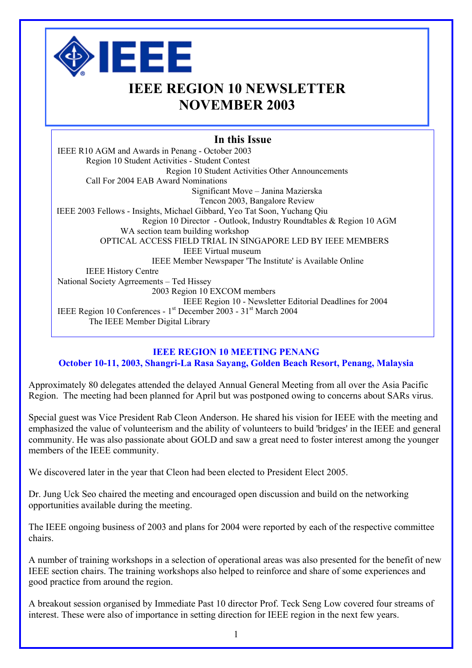

# **IEEE REGION 10 NEWSLETTER NOVEMBER 2003**

### **In this Issue**

IEEE R10 AGM and Awards in Penang - October 2003 Region 10 Student Activities - Student Contest Region 10 Student Activities Other Announcements Call For 2004 EAB Award Nominations Significant Move – Janina Mazierska Tencon 2003, Bangalore Review IEEE 2003 Fellows - Insights, Michael Gibbard, Yeo Tat Soon, Yuchang Qiu Region 10 Director - Outlook, Industry Roundtables & Region 10 AGM WA section team building workshop OPTICAL ACCESS FIELD TRIAL IN SINGAPORE LED BY IEEE MEMBERS IEEE Virtual museum IEEE Member Newspaper 'The Institute' is Available Online IEEE History Centre National Society Agrreements – Ted Hissey 2003 Region 10 EXCOM members IEEE Region 10 - Newsletter Editorial Deadlines for 2004 IEEE Region 10 Conferences - 1st December 2003 - 31st March 2004 The IEEE Member Digital Library

### **IEEE REGION 10 MEETING PENANG**

### **October 10-11, 2003, Shangri-La Rasa Sayang, Golden Beach Resort, Penang, Malaysia**

Approximately 80 delegates attended the delayed Annual General Meeting from all over the Asia Pacific Region. The meeting had been planned for April but was postponed owing to concerns about SARs virus.

Special guest was Vice President Rab Cleon Anderson. He shared his vision for IEEE with the meeting and emphasized the value of volunteerism and the ability of volunteers to build 'bridges' in the IEEE and general community. He was also passionate about GOLD and saw a great need to foster interest among the younger members of the IEEE community.

We discovered later in the year that Cleon had been elected to President Elect 2005.

Dr. Jung Uck Seo chaired the meeting and encouraged open discussion and build on the networking opportunities available during the meeting.

The IEEE ongoing business of 2003 and plans for 2004 were reported by each of the respective committee chairs.

A number of training workshops in a selection of operational areas was also presented for the benefit of new IEEE section chairs. The training workshops also helped to reinforce and share of some experiences and good practice from around the region.

A breakout session organised by Immediate Past 10 director Prof. Teck Seng Low covered four streams of interest. These were also of importance in setting direction for IEEE region in the next few years.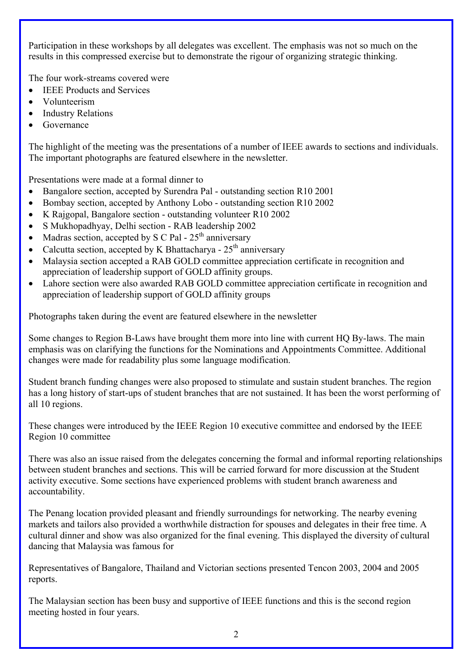Participation in these workshops by all delegates was excellent. The emphasis was not so much on the results in this compressed exercise but to demonstrate the rigour of organizing strategic thinking.

The four work-streams covered were

- **IEEE Products and Services**
- Volunteerism
- **Industry Relations**
- **Governance**

The highlight of the meeting was the presentations of a number of IEEE awards to sections and individuals. The important photographs are featured elsewhere in the newsletter.

Presentations were made at a formal dinner to

- Bangalore section, accepted by Surendra Pal outstanding section R10 2001
- Bombay section, accepted by Anthony Lobo outstanding section R10 2002
- K Rajgopal, Bangalore section outstanding volunteer R10 2002
- S Mukhopadhyay, Delhi section RAB leadership 2002
- Madras section, accepted by S C Pal  $25<sup>th</sup>$  anniversary
- Calcutta section, accepted by K Bhattacharya  $25<sup>th</sup>$  anniversary
- Malaysia section accepted a RAB GOLD committee appreciation certificate in recognition and appreciation of leadership support of GOLD affinity groups.
- Lahore section were also awarded RAB GOLD committee appreciation certificate in recognition and appreciation of leadership support of GOLD affinity groups

Photographs taken during the event are featured elsewhere in the newsletter

Some changes to Region B-Laws have brought them more into line with current HQ By-laws. The main emphasis was on clarifying the functions for the Nominations and Appointments Committee. Additional changes were made for readability plus some language modification.

Student branch funding changes were also proposed to stimulate and sustain student branches. The region has a long history of start-ups of student branches that are not sustained. It has been the worst performing of all 10 regions.

These changes were introduced by the IEEE Region 10 executive committee and endorsed by the IEEE Region 10 committee

There was also an issue raised from the delegates concerning the formal and informal reporting relationships between student branches and sections. This will be carried forward for more discussion at the Student activity executive. Some sections have experienced problems with student branch awareness and accountability.

The Penang location provided pleasant and friendly surroundings for networking. The nearby evening markets and tailors also provided a worthwhile distraction for spouses and delegates in their free time. A cultural dinner and show was also organized for the final evening. This displayed the diversity of cultural dancing that Malaysia was famous for

Representatives of Bangalore, Thailand and Victorian sections presented Tencon 2003, 2004 and 2005 reports.

The Malaysian section has been busy and supportive of IEEE functions and this is the second region meeting hosted in four years.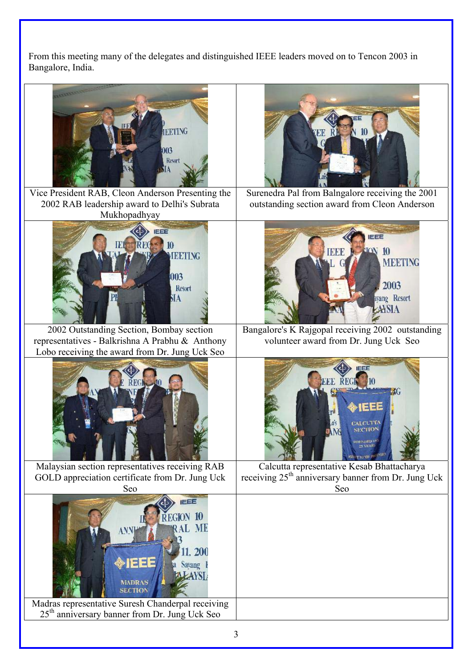From this meeting many of the delegates and distinguished IEEE leaders moved on to Tencon 2003 in Bangalore, India.

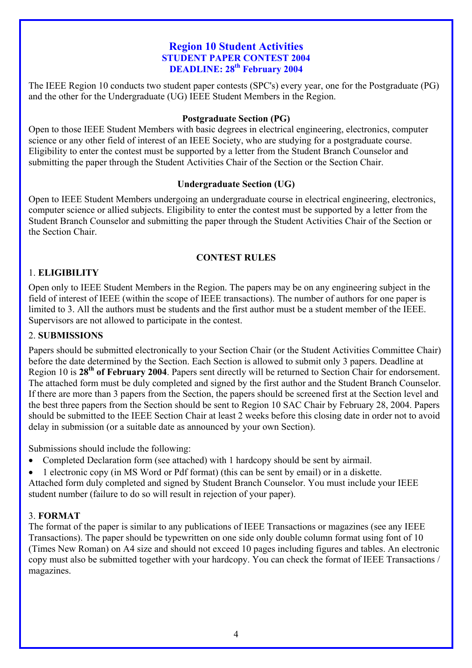### **Region 10 Student Activities STUDENT PAPER CONTEST 2004 DEADLINE: 28<sup>th</sup> February 2004**

The IEEE Region 10 conducts two student paper contests (SPC's) every year, one for the Postgraduate (PG) and the other for the Undergraduate (UG) IEEE Student Members in the Region.

### **Postgraduate Section (PG)**

Open to those IEEE Student Members with basic degrees in electrical engineering, electronics, computer science or any other field of interest of an IEEE Society, who are studying for a postgraduate course. Eligibility to enter the contest must be supported by a letter from the Student Branch Counselor and submitting the paper through the Student Activities Chair of the Section or the Section Chair.

### **Undergraduate Section (UG)**

Open to IEEE Student Members undergoing an undergraduate course in electrical engineering, electronics, computer science or allied subjects. Eligibility to enter the contest must be supported by a letter from the Student Branch Counselor and submitting the paper through the Student Activities Chair of the Section or the Section Chair.

### **CONTEST RULES**

### 1. **ELIGIBILITY**

Open only to IEEE Student Members in the Region. The papers may be on any engineering subject in the field of interest of IEEE (within the scope of IEEE transactions). The number of authors for one paper is limited to 3. All the authors must be students and the first author must be a student member of the IEEE. Supervisors are not allowed to participate in the contest.

### 2. **SUBMISSIONS**

Papers should be submitted electronically to your Section Chair (or the Student Activities Committee Chair) before the date determined by the Section. Each Section is allowed to submit only 3 papers. Deadline at Region 10 is **28th of February 2004**. Papers sent directly will be returned to Section Chair for endorsement. The attached form must be duly completed and signed by the first author and the Student Branch Counselor. If there are more than 3 papers from the Section, the papers should be screened first at the Section level and the best three papers from the Section should be sent to Region 10 SAC Chair by February 28, 2004. Papers should be submitted to the IEEE Section Chair at least 2 weeks before this closing date in order not to avoid delay in submission (or a suitable date as announced by your own Section).

Submissions should include the following:

- Completed Declaration form (see attached) with 1 hardcopy should be sent by airmail.
- 1 electronic copy (in MS Word or Pdf format) (this can be sent by email) or in a diskette.
- Attached form duly completed and signed by Student Branch Counselor. You must include your IEEE student number (failure to do so will result in rejection of your paper).

### 3. **FORMAT**

The format of the paper is similar to any publications of IEEE Transactions or magazines (see any IEEE Transactions). The paper should be typewritten on one side only double column format using font of 10 (Times New Roman) on A4 size and should not exceed 10 pages including figures and tables. An electronic copy must also be submitted together with your hardcopy. You can check the format of IEEE Transactions / magazines.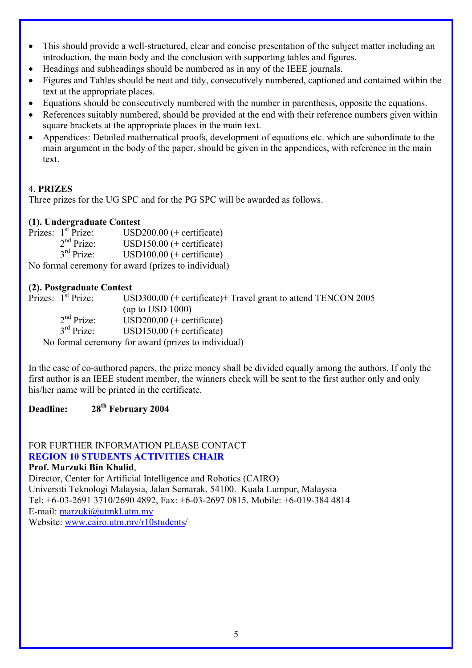- This should provide a well-structured, clear and concise presentation of the subject matter including an introduction, the main body and the conclusion with supporting tables and figures.
- Headings and subheadings should be numbered as in any of the IEEE journals.
- Figures and Tables should be neat and tidy, consecutively numbered, captioned and contained within the text at the appropriate places.
- Equations should be consecutively numbered with the number in parenthesis, opposite the equations.
- References suitably numbered, should be provided at the end with their reference numbers given within square brackets at the appropriate places in the main text.
- Appendices: Detailed mathematical proofs, development of equations etc. which are subordinate to the main argument in the body of the paper, should be given in the appendices, with reference in the main text.

## 4. **PRIZES**

Three prizes for the UG SPC and for the PG SPC will be awarded as follows.

### **(1). Undergraduate Contest**

|   | Prizes: 1 <sup>st</sup> Prize: | $USD200.00$ (+ certificate) |
|---|--------------------------------|-----------------------------|
|   | 2 <sup>nd</sup> Prize:         | USD150.00 $(+$ certificate) |
|   | $3rd$ Prize:                   | $USD100.00$ (+ certificate) |
| . |                                | .                           |

No formal ceremony for award (prizes to individual)

### **(2). Postgraduate Contest**

Prizes:  $1^{st}$  Prize: USD300.00 (+ certificate)+ Travel grant to attend TENCON 2005 (up to USD 1000)  $2<sup>nd</sup> Prize:   
3<sup>rd</sup> Prize:   
USD150.00 (+ certificate)$  $USD150.00$  (+ certificate) No formal ceremony for award (prizes to individual)

In the case of co-authored papers, the prize money shall be divided equally among the authors. If only the first author is an IEEE student member, the winners check will be sent to the first author only and only his/her name will be printed in the certificate.

## **Deadline: 28th February 2004**

#### FOR FURTHER INFORMATION PLEASE CONTACT **REGION 10 STUDENTS ACTIVITIES CHAIR Prof. Marzuki Bin Khalid**,

Director, Center for Artificial Intelligence and Robotics (CAIRO) Universiti Teknologi Malaysia, Jalan Semarak, 54100. Kuala Lumpur, Malaysia Tel: +6-03-2691 3710/2690 4892, Fax: +6-03-2697 0815. Mobile: +6-019-384 4814 E-mail: [marzuki@utmkl.utm.my](mailto:marzuki@utmkl.utm.my) Website: [www.cairo.utm.my/r10students](http://www.cairo.utm.my/r10students)/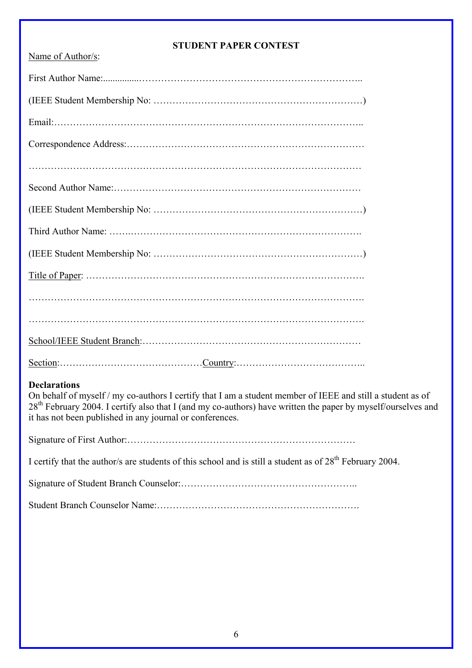### **STUDENT PAPER CONTEST**

| Name of Author/s: |
|-------------------|
|                   |
|                   |
|                   |
|                   |
|                   |
|                   |
|                   |
|                   |
|                   |
|                   |
|                   |
|                   |
|                   |
|                   |

### **Declarations**

On behalf of myself / my co-authors I certify that I am a student member of IEEE and still a student as of 28<sup>th</sup> February 2004. I certify also that I (and my co-authors) have written the paper by myself/ourselves and it has not been published in any journal or conferences.

Signature of First Author:………………………………………………………………

I certify that the author/s are students of this school and is still a student as of  $28^{th}$  February 2004.

Signature of Student Branch Counselor:………………………………………………..

Student Branch Counselor Name:……………………………………………………….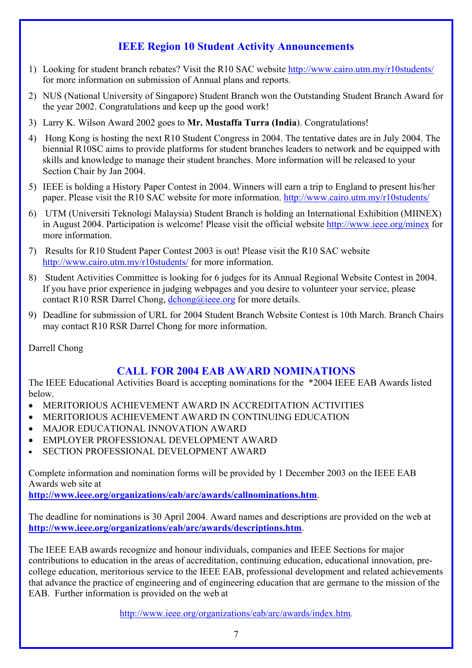# **IEEE Region 10 Student Activity Announcements**

- 1) Looking for student branch rebates? Visit the R10 SAC website<http://www.cairo.utm.my/r10students/> for more information on submission of Annual plans and reports.
- 2) NUS (National University of Singapore) Student Branch won the Outstanding Student Branch Award for the year 2002. Congratulations and keep up the good work!
- 3) Larry K. Wilson Award 2002 goes to **Mr. Mustaffa Turra (India**). Congratulations!
- 4) Hong Kong is hosting the next R10 Student Congress in 2004. The tentative dates are in July 2004. The biennial R10SC aims to provide platforms for student branches leaders to network and be equipped with skills and knowledge to manage their student branches. More information will be released to your Section Chair by Jan 2004.
- 5) IEEE is holding a History Paper Contest in 2004. Winners will earn a trip to England to present his/her paper. Please visit the R10 SAC website for more information. <http://www.cairo.utm.my/r10students/>
- 6) UTM (Universiti Teknologi Malaysia) Student Branch is holding an International Exhibition (MIINEX) in August 2004. Participation is welcome! Please visit the official website <http://www.ieee.org/minex> for more information.
- 7) Results for R10 Student Paper Contest 2003 is out! Please visit the R10 SAC website <http://www.cairo.utm.my/r10students/>for more information.
- 8) Student Activities Committee is looking for 6 judges for its Annual Regional Website Contest in 2004. If you have prior experience in judging webpages and you desire to volunteer your service, please contact R10 RSR Darrel Chong, [dchong@ieee.org](mailto:dchong@ieee.org) for more details.
- 9) Deadline for submission of URL for 2004 Student Branch Website Contest is 10th March. Branch Chairs may contact R10 RSR Darrel Chong for more information.

Darrell Chong

# **CALL FOR 2004 EAB AWARD NOMINATIONS**

The IEEE Educational Activities Board is accepting nominations for the \*2004 IEEE EAB Awards listed below.

- MERITORIOUS ACHIEVEMENT AWARD IN ACCREDITATION ACTIVITIES
- MERITORIOUS ACHIEVEMENT AWARD IN CONTINUING EDUCATION
- MAJOR EDUCATIONAL INNOVATION AWARD
- EMPLOYER PROFESSIONAL DEVELOPMENT AWARD
- SECTION PROFESSIONAL DEVELOPMENT AWARD

Complete information and nomination forms will be provided by 1 December 2003 on the IEEE EAB Awards web site at

**<http://www.ieee.org/organizations/eab/arc/awards/callnominations.htm>**.

The deadline for nominations is 30 April 2004. Award names and descriptions are provided on the web at **<http://www.ieee.org/organizations/eab/arc/awards/descriptions.htm>**.

The IEEE EAB awards recognize and honour individuals, companies and IEEE Sections for major contributions to education in the areas of accreditation, continuing education, educational innovation, precollege education, meritorious service to the IEEE EAB, professional development and related achievements that advance the practice of engineering and of engineering education that are germane to the mission of the EAB. Further information is provided on the web at

[http://www.ieee.org/organizations/eab/arc/awards/index.htm.](http://www.ieee.org/organizations/eab/arc/awards/index.htm)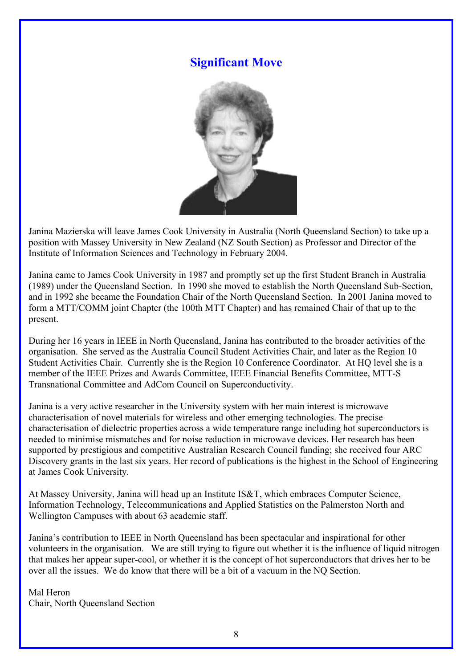# **Significant Move**



Janina Mazierska will leave James Cook University in Australia (North Queensland Section) to take up a position with Massey University in New Zealand (NZ South Section) as Professor and Director of the Institute of Information Sciences and Technology in February 2004.

Janina came to James Cook University in 1987 and promptly set up the first Student Branch in Australia (1989) under the Queensland Section. In 1990 she moved to establish the North Queensland Sub-Section, and in 1992 she became the Foundation Chair of the North Queensland Section. In 2001 Janina moved to form a MTT/COMM joint Chapter (the 100th MTT Chapter) and has remained Chair of that up to the present.

During her 16 years in IEEE in North Queensland, Janina has contributed to the broader activities of the organisation. She served as the Australia Council Student Activities Chair, and later as the Region 10 Student Activities Chair. Currently she is the Region 10 Conference Coordinator. At HQ level she is a member of the IEEE Prizes and Awards Committee, IEEE Financial Benefits Committee, MTT-S Transnational Committee and AdCom Council on Superconductivity.

Janina is a very active researcher in the University system with her main interest is microwave characterisation of novel materials for wireless and other emerging technologies. The precise characterisation of dielectric properties across a wide temperature range including hot superconductors is needed to minimise mismatches and for noise reduction in microwave devices. Her research has been supported by prestigious and competitive Australian Research Council funding; she received four ARC Discovery grants in the last six years. Her record of publications is the highest in the School of Engineering at James Cook University.

At Massey University, Janina will head up an Institute IS&T, which embraces Computer Science, Information Technology, Telecommunications and Applied Statistics on the Palmerston North and Wellington Campuses with about 63 academic staff.

Janina's contribution to IEEE in North Queensland has been spectacular and inspirational for other volunteers in the organisation. We are still trying to figure out whether it is the influence of liquid nitrogen that makes her appear super-cool, or whether it is the concept of hot superconductors that drives her to be over all the issues. We do know that there will be a bit of a vacuum in the NQ Section.

Mal Heron Chair, North Queensland Section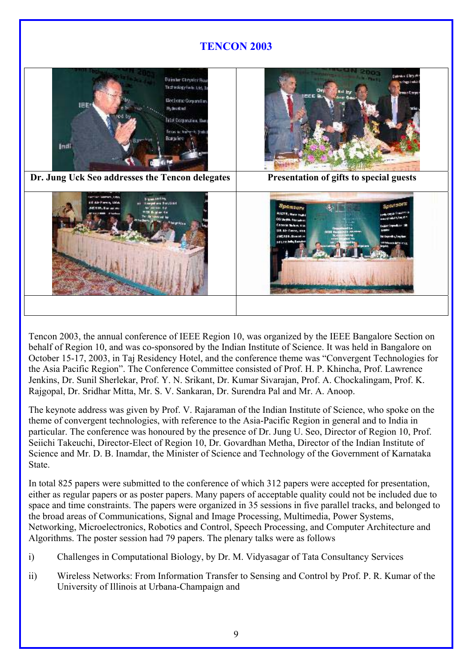

Tencon 2003, the annual conference of IEEE Region 10, was organized by the IEEE Bangalore Section on behalf of Region 10, and was co-sponsored by the Indian Institute of Science. It was held in Bangalore on October 15-17, 2003, in Taj Residency Hotel, and the conference theme was "Convergent Technologies for the Asia Pacific Region". The Conference Committee consisted of Prof. H. P. Khincha, Prof. Lawrence Jenkins, Dr. Sunil Sherlekar, Prof. Y. N. Srikant, Dr. Kumar Sivarajan, Prof. A. Chockalingam, Prof. K. Rajgopal, Dr. Sridhar Mitta, Mr. S. V. Sankaran, Dr. Surendra Pal and Mr. A. Anoop.

The keynote address was given by Prof. V. Rajaraman of the Indian Institute of Science, who spoke on the theme of convergent technologies, with reference to the Asia-Pacific Region in general and to India in particular. The conference was honoured by the presence of Dr. Jung U. Seo, Director of Region 10, Prof. Seiichi Takeuchi, Director-Elect of Region 10, Dr. Govardhan Metha, Director of the Indian Institute of Science and Mr. D. B. Inamdar, the Minister of Science and Technology of the Government of Karnataka State.

In total 825 papers were submitted to the conference of which 312 papers were accepted for presentation, either as regular papers or as poster papers. Many papers of acceptable quality could not be included due to space and time constraints. The papers were organized in 35 sessions in five parallel tracks, and belonged to the broad areas of Communications, Signal and Image Processing, Multimedia, Power Systems, Networking, Microelectronics, Robotics and Control, Speech Processing, and Computer Architecture and Algorithms. The poster session had 79 papers. The plenary talks were as follows

- i) Challenges in Computational Biology, by Dr. M. Vidyasagar of Tata Consultancy Services
- ii) Wireless Networks: From Information Transfer to Sensing and Control by Prof. P. R. Kumar of the University of Illinois at Urbana-Champaign and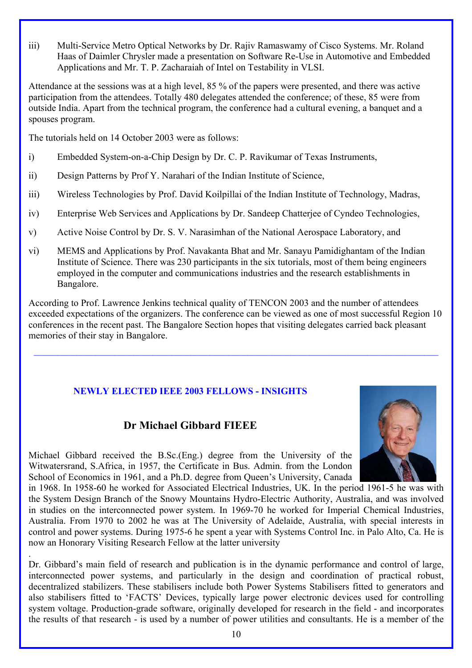iii) Multi-Service Metro Optical Networks by Dr. Rajiv Ramaswamy of Cisco Systems. Mr. Roland Haas of Daimler Chrysler made a presentation on Software Re-Use in Automotive and Embedded Applications and Mr. T. P. Zacharaiah of Intel on Testability in VLSI.

Attendance at the sessions was at a high level, 85 % of the papers were presented, and there was active participation from the attendees. Totally 480 delegates attended the conference; of these, 85 were from outside India. Apart from the technical program, the conference had a cultural evening, a banquet and a spouses program.

The tutorials held on 14 October 2003 were as follows:

- i) Embedded System-on-a-Chip Design by Dr. C. P. Ravikumar of Texas Instruments,
- ii) Design Patterns by Prof Y. Narahari of the Indian Institute of Science,
- iii) Wireless Technologies by Prof. David Koilpillai of the Indian Institute of Technology, Madras,
- iv) Enterprise Web Services and Applications by Dr. Sandeep Chatterjee of Cyndeo Technologies,
- v) Active Noise Control by Dr. S. V. Narasimhan of the National Aerospace Laboratory, and
- vi) MEMS and Applications by Prof. Navakanta Bhat and Mr. Sanayu Pamidighantam of the Indian Institute of Science. There was 230 participants in the six tutorials, most of them being engineers employed in the computer and communications industries and the research establishments in Bangalore.

According to Prof. Lawrence Jenkins technical quality of TENCON 2003 and the number of attendees exceeded expectations of the organizers. The conference can be viewed as one of most successful Region 10 conferences in the recent past. The Bangalore Section hopes that visiting delegates carried back pleasant memories of their stay in Bangalore.

 $\_$  , and the state of the state of the state of the state of the state of the state of the state of the state of the state of the state of the state of the state of the state of the state of the state of the state of the

## **NEWLY ELECTED IEEE 2003 FELLOWS - INSIGHTS**

# **Dr Michael Gibbard FIEEE**

Michael Gibbard received the B.Sc.(Eng.) degree from the University of the Witwatersrand, S.Africa, in 1957, the Certificate in Bus. Admin. from the London School of Economics in 1961, and a Ph.D. degree from Queen's University, Canada

10

in 1968. In 1958-60 he worked for Associated Electrical Industries, UK. In the period 1961-5 he was with the System Design Branch of the Snowy Mountains Hydro-Electric Authority, Australia, and was involved in studies on the interconnected power system. In 1969-70 he worked for Imperial Chemical Industries, Australia. From 1970 to 2002 he was at The University of Adelaide, Australia, with special interests in control and power systems. During 1975-6 he spent a year with Systems Control Inc. in Palo Alto, Ca. He is now an Honorary Visiting Research Fellow at the latter university .

Dr. Gibbard's main field of research and publication is in the dynamic performance and control of large, interconnected power systems, and particularly in the design and coordination of practical robust, decentralized stabilizers. These stabilisers include both Power Systems Stabilisers fitted to generators and also stabilisers fitted to 'FACTS' Devices, typically large power electronic devices used for controlling system voltage. Production-grade software, originally developed for research in the field - and incorporates the results of that research - is used by a number of power utilities and consultants. He is a member of the

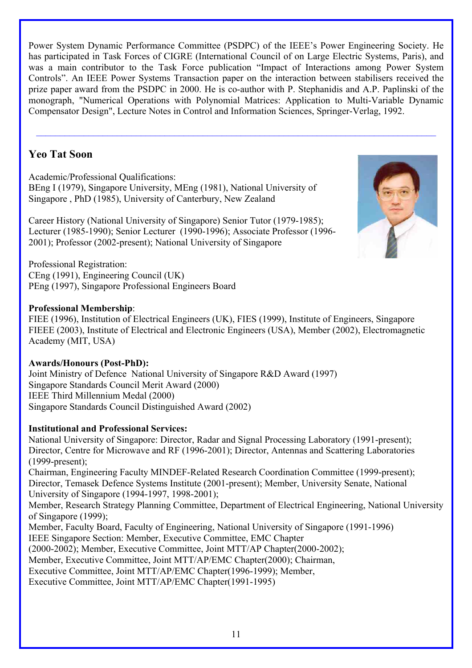Power System Dynamic Performance Committee (PSDPC) of the IEEE's Power Engineering Society. He has participated in Task Forces of CIGRE (International Council of on Large Electric Systems, Paris), and was a main contributor to the Task Force publication "Impact of Interactions among Power System Controls". An IEEE Power Systems Transaction paper on the interaction between stabilisers received the prize paper award from the PSDPC in 2000. He is co-author with P. Stephanidis and A.P. Paplinski of the monograph, "Numerical Operations with Polynomial Matrices: Application to Multi-Variable Dynamic Compensator Design", Lecture Notes in Control and Information Sciences, Springer-Verlag, 1992.

 $\mathcal{L}_\text{max} = \frac{1}{2} \sum_{i=1}^n \mathcal{L}_\text{max}(\mathbf{x}_i - \mathbf{y}_i)$ 

# **Yeo Tat Soon**

Academic/Professional Qualifications: BEng I (1979), Singapore University, MEng (1981), National University of Singapore , PhD (1985), University of Canterbury, New Zealand

Career History (National University of Singapore) Senior Tutor (1979-1985); Lecturer (1985-1990); Senior Lecturer (1990-1996); Associate Professor (1996- 2001); Professor (2002-present); National University of Singapore

Professional Registration: CEng (1991), Engineering Council (UK) PEng (1997), Singapore Professional Engineers Board

## **Professional Membership**:

FIEE (1996), Institution of Electrical Engineers (UK), FIES (1999), Institute of Engineers, Singapore FIEEE (2003), Institute of Electrical and Electronic Engineers (USA), Member (2002), Electromagnetic Academy (MIT, USA)

## **Awards/Honours (Post-PhD):**

Joint Ministry of Defence National University of Singapore R&D Award (1997) Singapore Standards Council Merit Award (2000) IEEE Third Millennium Medal (2000) Singapore Standards Council Distinguished Award (2002)

## **Institutional and Professional Services:**

National University of Singapore: Director, Radar and Signal Processing Laboratory (1991-present); Director, Centre for Microwave and RF (1996-2001); Director, Antennas and Scattering Laboratories (1999-present); Chairman, Engineering Faculty MINDEF-Related Research Coordination Committee (1999-present); Director, Temasek Defence Systems Institute (2001-present); Member, University Senate, National University of Singapore (1994-1997, 1998-2001); Member, Research Strategy Planning Committee, Department of Electrical Engineering, National University of Singapore (1999); Member, Faculty Board, Faculty of Engineering, National University of Singapore (1991-1996) IEEE Singapore Section: Member, Executive Committee, EMC Chapter (2000-2002); Member, Executive Committee, Joint MTT/AP Chapter(2000-2002); Member, Executive Committee, Joint MTT/AP/EMC Chapter(2000); Chairman, Executive Committee, Joint MTT/AP/EMC Chapter(1996-1999); Member, Executive Committee, Joint MTT/AP/EMC Chapter(1991-1995)

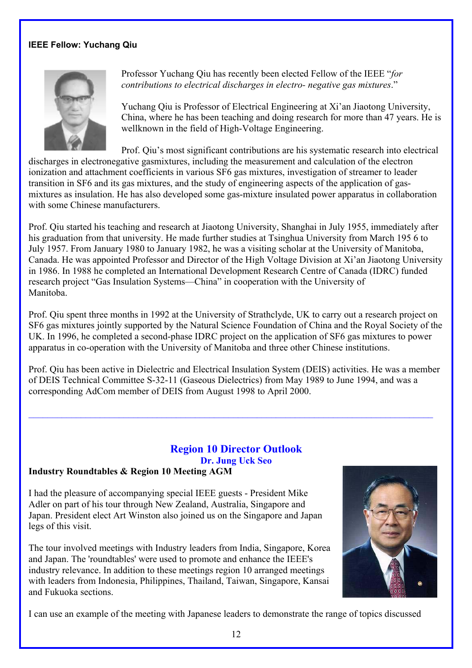### **IEEE Fellow: Yuchang Qiu**



Professor Yuchang Qiu has recently been elected Fellow of the IEEE "*for contributions to electrical discharges in electro- negative gas mixtures*."

Yuchang Qiu is Professor of Electrical Engineering at Xi'an Jiaotong University, China, where he has been teaching and doing research for more than 47 years. He is wellknown in the field of High-Voltage Engineering.

Prof. Qiu's most significant contributions are his systematic research into electrical discharges in electronegative gasmixtures, including the measurement and calculation of the electron ionization and attachment coefficients in various SF6 gas mixtures, investigation of streamer to leader transition in SF6 and its gas mixtures, and the study of engineering aspects of the application of gasmixtures as insulation. He has also developed some gas-mixture insulated power apparatus in collaboration with some Chinese manufacturers.

Prof. Qiu started his teaching and research at Jiaotong University, Shanghai in July 1955, immediately after his graduation from that university. He made further studies at Tsinghua University from March 195 6 to July 1957. From January 1980 to January 1982, he was a visiting scholar at the University of Manitoba, Canada. He was appointed Professor and Director of the High Voltage Division at Xi'an Jiaotong University in 1986. In 1988 he completed an International Development Research Centre of Canada (IDRC) funded research project "Gas Insulation Systems—China" in cooperation with the University of Manitoba.

Prof. Qiu spent three months in 1992 at the University of Strathclyde, UK to carry out a research project on SF6 gas mixtures jointly supported by the Natural Science Foundation of China and the Royal Society of the UK. In 1996, he completed a second-phase IDRC project on the application of SF6 gas mixtures to power apparatus in co-operation with the University of Manitoba and three other Chinese institutions.

Prof. Qiu has been active in Dielectric and Electrical Insulation System (DEIS) activities. He was a member of DEIS Technical Committee S-32-11 (Gaseous Dielectrics) from May 1989 to June 1994, and was a corresponding AdCom member of DEIS from August 1998 to April 2000.

 $\mathcal{L}_\mathcal{L} = \mathcal{L}_\mathcal{L} = \mathcal{L}_\mathcal{L} = \mathcal{L}_\mathcal{L} = \mathcal{L}_\mathcal{L} = \mathcal{L}_\mathcal{L} = \mathcal{L}_\mathcal{L} = \mathcal{L}_\mathcal{L} = \mathcal{L}_\mathcal{L} = \mathcal{L}_\mathcal{L} = \mathcal{L}_\mathcal{L} = \mathcal{L}_\mathcal{L} = \mathcal{L}_\mathcal{L} = \mathcal{L}_\mathcal{L} = \mathcal{L}_\mathcal{L} = \mathcal{L}_\mathcal{L} = \mathcal{L}_\mathcal{L}$ 

# **Region 10 Director Outlook Dr. Jung Uck Seo**

### **Industry Roundtables & Region 10 Meeting AGM**

I had the pleasure of accompanying special IEEE guests - President Mike Adler on part of his tour through New Zealand, Australia, Singapore and Japan. President elect Art Winston also joined us on the Singapore and Japan legs of this visit.

The tour involved meetings with Industry leaders from India, Singapore, Korea and Japan. The 'roundtables' were used to promote and enhance the IEEE's industry relevance. In addition to these meetings region 10 arranged meetings with leaders from Indonesia, Philippines, Thailand, Taiwan, Singapore, Kansai and Fukuoka sections.



I can use an example of the meeting with Japanese leaders to demonstrate the range of topics discussed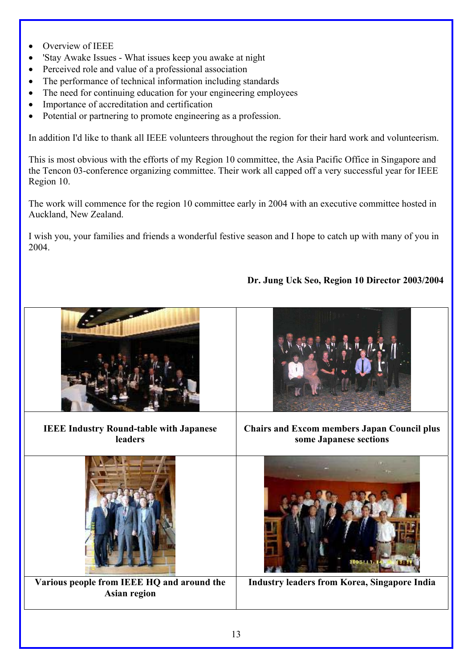- Overview of IEEE
- 'Stay Awake Issues What issues keep you awake at night
- Perceived role and value of a professional association
- The performance of technical information including standards
- The need for continuing education for your engineering employees
- Importance of accreditation and certification
- Potential or partnering to promote engineering as a profession.

In addition I'd like to thank all IEEE volunteers throughout the region for their hard work and volunteerism.

This is most obvious with the efforts of my Region 10 committee, the Asia Pacific Office in Singapore and the Tencon 03-conference organizing committee. Their work all capped off a very successful year for IEEE Region 10.

The work will commence for the region 10 committee early in 2004 with an executive committee hosted in Auckland, New Zealand.

I wish you, your families and friends a wonderful festive season and I hope to catch up with many of you in 2004.

## **Dr. Jung Uck Seo, Region 10 Director 2003/2004**

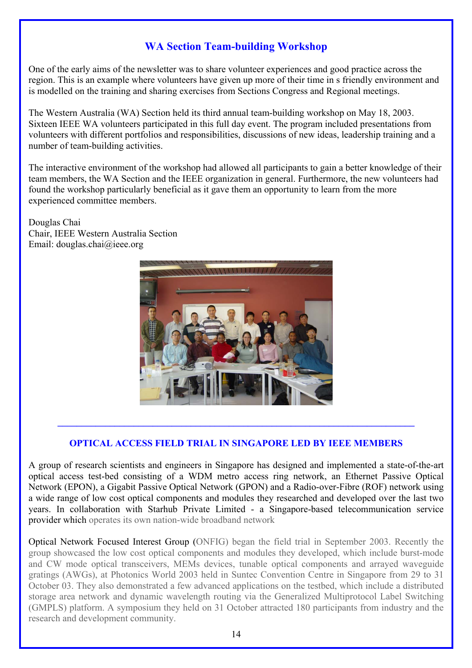# **WA Section Team-building Workshop**

One of the early aims of the newsletter was to share volunteer experiences and good practice across the region. This is an example where volunteers have given up more of their time in s friendly environment and is modelled on the training and sharing exercises from Sections Congress and Regional meetings.

The Western Australia (WA) Section held its third annual team-building workshop on May 18, 2003. Sixteen IEEE WA volunteers participated in this full day event. The program included presentations from volunteers with different portfolios and responsibilities, discussions of new ideas, leadership training and a number of team-building activities.

The interactive environment of the workshop had allowed all participants to gain a better knowledge of their team members, the WA Section and the IEEE organization in general. Furthermore, the new volunteers had found the workshop particularly beneficial as it gave them an opportunity to learn from the more experienced committee members.

Douglas Chai Chair, IEEE Western Australia Section Email: douglas.chai@ieee.org



### **OPTICAL ACCESS FIELD TRIAL IN SINGAPORE LED BY IEEE MEMBERS**

**\_\_\_\_\_\_\_\_\_\_\_\_\_\_\_\_\_\_\_\_\_\_\_\_\_\_\_\_\_\_\_\_\_\_\_\_\_\_\_\_\_\_\_\_\_\_\_\_\_\_\_\_\_\_\_\_\_\_\_\_\_\_\_\_\_\_\_\_\_\_\_\_\_\_\_** 

A group of research scientists and engineers in Singapore has designed and implemented a state-of-the-art optical access test-bed consisting of a WDM metro access ring network, an Ethernet Passive Optical Network (EPON), a Gigabit Passive Optical Network (GPON) and a Radio-over-Fibre (ROF) network using a wide range of low cost optical components and modules they researched and developed over the last two years. In collaboration with Starhub Private Limited - a Singapore-based telecommunication service provider which operates its own nation-wide broadband network

Optical Network Focused Interest Group (ONFIG) began the field trial in September 2003. Recently the group showcased the low cost optical components and modules they developed, which include burst-mode and CW mode optical transceivers, MEMs devices, tunable optical components and arrayed waveguide gratings (AWGs), at Photonics World 2003 held in Suntec Convention Centre in Singapore from 29 to 31 October 03. They also demonstrated a few advanced applications on the testbed, which include a distributed storage area network and dynamic wavelength routing via the Generalized Multiprotocol Label Switching (GMPLS) platform. A symposium they held on 31 October attracted 180 participants from industry and the research and development community.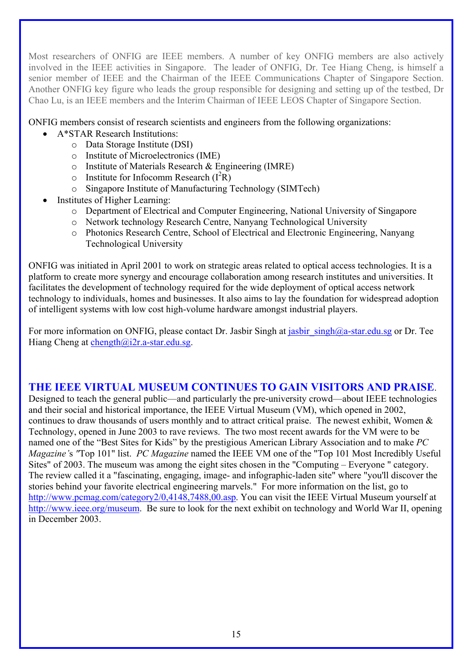Most researchers of ONFIG are IEEE members. A number of key ONFIG members are also actively involved in the IEEE activities in Singapore. The leader of ONFIG, Dr. Tee Hiang Cheng, is himself a senior member of IEEE and the Chairman of the IEEE Communications Chapter of Singapore Section. Another ONFIG key figure who leads the group responsible for designing and setting up of the testbed, Dr Chao Lu, is an IEEE members and the Interim Chairman of IEEE LEOS Chapter of Singapore Section.

ONFIG members consist of research scientists and engineers from the following organizations:

- A\*STAR Research Institutions:
	- o Data Storage Institute (DSI)
	- o Institute of Microelectronics (IME)
	- o Institute of Materials Research & Engineering (IMRE)
	- $\circ$  Institute for Infocomm Research ( $I^2R$ )
	- o Singapore Institute of Manufacturing Technology (SIMTech)
- Institutes of Higher Learning:
	- o Department of Electrical and Computer Engineering, National University of Singapore
	- o Network technology Research Centre, Nanyang Technological University
	- o Photonics Research Centre, School of Electrical and Electronic Engineering, Nanyang Technological University

ONFIG was initiated in April 2001 to work on strategic areas related to optical access technologies. It is a platform to create more synergy and encourage collaboration among research institutes and universities. It facilitates the development of technology required for the wide deployment of optical access network technology to individuals, homes and businesses. It also aims to lay the foundation for widespread adoption of intelligent systems with low cost high-volume hardware amongst industrial players.

For more information on ONFIG, please contact Dr. Jasbir Singh at jasbir  $\sin \theta$ a-star.edu.sg or Dr. Tee Hiang Cheng at chength $@i2r.a-star.edu.sg.$ 

## **THE IEEE VIRTUAL MUSEUM CONTINUES TO GAIN VISITORS AND PRAISE**.

Designed to teach the general public—and particularly the pre-university crowd—about IEEE technologies and their social and historical importance, the IEEE Virtual Museum (VM), which opened in 2002, continues to draw thousands of users monthly and to attract critical praise. The newest exhibit, Women & Technology, opened in June 2003 to rave reviews. The two most recent awards for the VM were to be named one of the "Best Sites for Kids" by the prestigious American Library Association and to make *PC Magazine'*s *"*Top 101" list. *PC Magazine* named the IEEE VM one of the "Top 101 Most Incredibly Useful Sites" of 2003. The museum was among the eight sites chosen in the "Computing – Everyone " category. The review called it a "fascinating, engaging, image- and infographic-laden site" where "you'll discover the stories behind your favorite electrical engineering marvels." For more information on the list, go to <http://www.pcmag.com/category2/0,4148,7488,00.asp>. You can visit the IEEE Virtual Museum yourself at [http://www.ieee.org/museum.](http://www.ieee.org/museum) Be sure to look for the next exhibit on technology and World War II, opening in December 2003.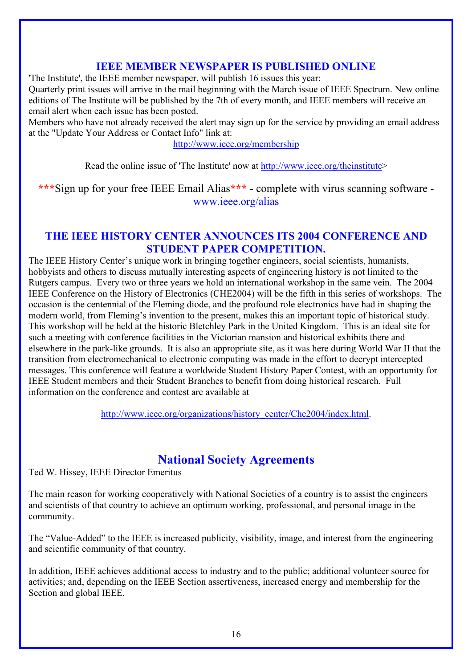## **IEEE MEMBER NEWSPAPER IS PUBLISHED ONLINE**

'The Institute', the IEEE member newspaper, will publish 16 issues this year:

Quarterly print issues will arrive in the mail beginning with the March issue of IEEE Spectrum. New online editions of The Institute will be published by the 7th of every month, and IEEE members will receive an email alert when each issue has been posted.

Members who have not already received the alert may sign up for the service by providing an email address at the "Update Your Address or Contact Info" link at:

http://www.ieee.org/membership

Read the online issue of 'The Institute' now at http://www.ieee.org/theinstitute>

**\*\*\***Sign up for your free IEEE Email Alias**\*\*\*** - complete with virus scanning software www.ieee.org/alias

## **THE IEEE HISTORY CENTER ANNOUNCES ITS 2004 CONFERENCE AND STUDENT PAPER COMPETITION.**

The IEEE History Center's unique work in bringing together engineers, social scientists, humanists, hobbyists and others to discuss mutually interesting aspects of engineering history is not limited to the Rutgers campus. Every two or three years we hold an international workshop in the same vein. The 2004 IEEE Conference on the History of Electronics (CHE2004) will be the fifth in this series of workshops. The occasion is the centennial of the Fleming diode, and the profound role electronics have had in shaping the modern world, from Fleming's invention to the present, makes this an important topic of historical study. This workshop will be held at the historic Bletchley Park in the United Kingdom. This is an ideal site for such a meeting with conference facilities in the Victorian mansion and historical exhibits there and elsewhere in the park-like grounds. It is also an appropriate site, as it was here during World War II that the transition from electromechanical to electronic computing was made in the effort to decrypt intercepted messages. This conference will feature a worldwide Student History Paper Contest, with an opportunity for IEEE Student members and their Student Branches to benefit from doing historical research. Full information on the conference and contest are available at

[http://www.ieee.org/organizations/history\\_center/Che2004/index.html.](http://www.ieee.org/organizations/history_center/Che2004/index.html)

# **National Society Agreements**

Ted W. Hissey, IEEE Director Emeritus

The main reason for working cooperatively with National Societies of a country is to assist the engineers and scientists of that country to achieve an optimum working, professional, and personal image in the community.

The "Value-Added" to the IEEE is increased publicity, visibility, image, and interest from the engineering and scientific community of that country.

In addition, IEEE achieves additional access to industry and to the public; additional volunteer source for activities; and, depending on the IEEE Section assertiveness, increased energy and membership for the Section and global IEEE.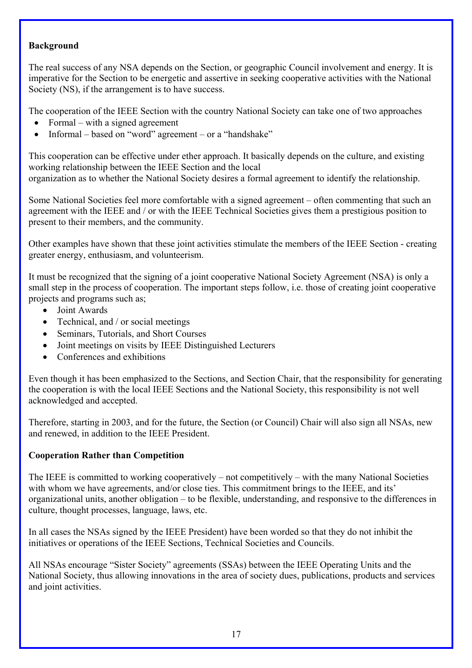### **Background**

The real success of any NSA depends on the Section, or geographic Council involvement and energy. It is imperative for the Section to be energetic and assertive in seeking cooperative activities with the National Society (NS), if the arrangement is to have success.

The cooperation of the IEEE Section with the country National Society can take one of two approaches

- Formal with a signed agreement
- Informal based on "word" agreement or a "handshake"

This cooperation can be effective under ether approach. It basically depends on the culture, and existing working relationship between the IEEE Section and the local organization as to whether the National Society desires a formal agreement to identify the relationship.

Some National Societies feel more comfortable with a signed agreement – often commenting that such an agreement with the IEEE and / or with the IEEE Technical Societies gives them a prestigious position to present to their members, and the community.

Other examples have shown that these joint activities stimulate the members of the IEEE Section - creating greater energy, enthusiasm, and volunteerism.

It must be recognized that the signing of a joint cooperative National Society Agreement (NSA) is only a small step in the process of cooperation. The important steps follow, i.e. those of creating joint cooperative projects and programs such as;

- Joint Awards
- Technical, and / or social meetings
- Seminars, Tutorials, and Short Courses
- Joint meetings on visits by IEEE Distinguished Lecturers
- Conferences and exhibitions

Even though it has been emphasized to the Sections, and Section Chair, that the responsibility for generating the cooperation is with the local IEEE Sections and the National Society, this responsibility is not well acknowledged and accepted.

Therefore, starting in 2003, and for the future, the Section (or Council) Chair will also sign all NSAs, new and renewed, in addition to the IEEE President.

### **Cooperation Rather than Competition**

The IEEE is committed to working cooperatively – not competitively – with the many National Societies with whom we have agreements, and/or close ties. This commitment brings to the IEEE, and its' organizational units, another obligation – to be flexible, understanding, and responsive to the differences in culture, thought processes, language, laws, etc.

In all cases the NSAs signed by the IEEE President) have been worded so that they do not inhibit the initiatives or operations of the IEEE Sections, Technical Societies and Councils.

All NSAs encourage "Sister Society" agreements (SSAs) between the IEEE Operating Units and the National Society, thus allowing innovations in the area of society dues, publications, products and services and joint activities.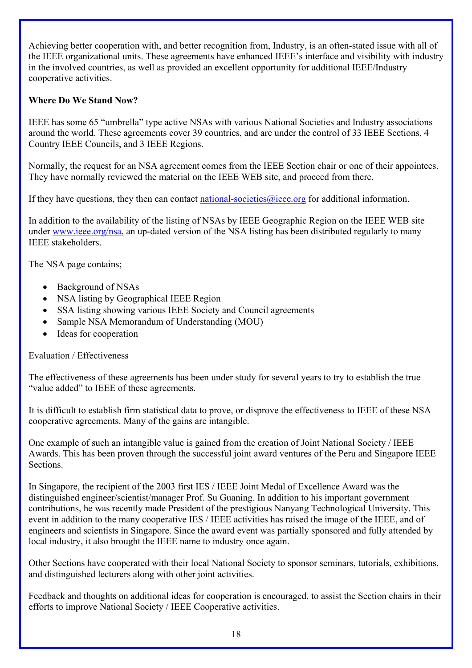Achieving better cooperation with, and better recognition from, Industry, is an often-stated issue with all of the IEEE organizational units. These agreements have enhanced IEEE's interface and visibility with industry in the involved countries, as well as provided an excellent opportunity for additional IEEE/Industry cooperative activities.

### **Where Do We Stand Now?**

IEEE has some 65 "umbrella" type active NSAs with various National Societies and Industry associations around the world. These agreements cover 39 countries, and are under the control of 33 IEEE Sections, 4 Country IEEE Councils, and 3 IEEE Regions.

Normally, the request for an NSA agreement comes from the IEEE Section chair or one of their appointees. They have normally reviewed the material on the IEEE WEB site, and proceed from there.

If they have questions, they then can contact national-societies  $\omega$ ieee.org for additional information.

In addition to the availability of the listing of NSAs by IEEE Geographic Region on the IEEE WEB site under [www.ieee.org/nsa](http://www.ieee.org/nsa), an up-dated version of the NSA listing has been distributed regularly to many IEEE stakeholders.

The NSA page contains;

- Background of NSAs
- NSA listing by Geographical IEEE Region
- SSA listing showing various IEEE Society and Council agreements
- Sample NSA Memorandum of Understanding (MOU)
- Ideas for cooperation

### Evaluation / Effectiveness

The effectiveness of these agreements has been under study for several years to try to establish the true "value added" to IEEE of these agreements.

It is difficult to establish firm statistical data to prove, or disprove the effectiveness to IEEE of these NSA cooperative agreements. Many of the gains are intangible.

One example of such an intangible value is gained from the creation of Joint National Society / IEEE Awards. This has been proven through the successful joint award ventures of the Peru and Singapore IEEE **Sections** 

In Singapore, the recipient of the 2003 first IES / IEEE Joint Medal of Excellence Award was the distinguished engineer/scientist/manager Prof. Su Guaning. In addition to his important government contributions, he was recently made President of the prestigious Nanyang Technological University. This event in addition to the many cooperative IES / IEEE activities has raised the image of the IEEE, and of engineers and scientists in Singapore. Since the award event was partially sponsored and fully attended by local industry, it also brought the IEEE name to industry once again.

Other Sections have cooperated with their local National Society to sponsor seminars, tutorials, exhibitions, and distinguished lecturers along with other joint activities.

Feedback and thoughts on additional ideas for cooperation is encouraged, to assist the Section chairs in their efforts to improve National Society / IEEE Cooperative activities.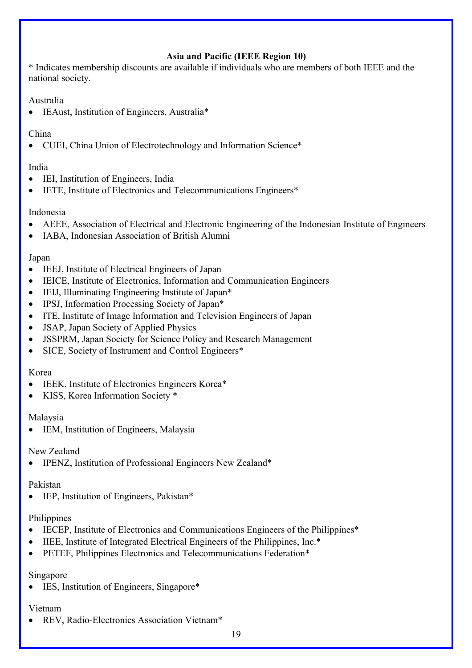# **Asia and Pacific (IEEE Region 10)**

\* Indicates membership discounts are available if individuals who are members of both IEEE and the national society.

### Australia

• IEAust, Institution of Engineers, Australia\*

### China

• CUEI, China Union of Electrotechnology and Information Science\*

### India

- IEI, Institution of Engineers, India
- IETE, Institute of Electronics and Telecommunications Engineers<sup>\*</sup>

### Indonesia

- AEEE, Association of Electrical and Electronic Engineering of the Indonesian Institute of Engineers
- IABA, Indonesian Association of British Alumni

### Japan

- IEEJ, Institute of Electrical Engineers of Japan
- IEICE, Institute of Electronics, Information and Communication Engineers
- IEIJ, Illuminating Engineering Institute of Japan\*
- IPSJ, Information Processing Society of Japan\*
- ITE, Institute of Image Information and Television Engineers of Japan
- **JSAP**, Japan Society of Applied Physics
- JSSPRM, Japan Society for Science Policy and Research Management
- SICE, Society of Instrument and Control Engineers\*

### Korea

- IEEK, Institute of Electronics Engineers Korea\*
- KISS, Korea Information Society \*

### Malaysia

IEM, Institution of Engineers, Malaysia

## New Zealand

• IPENZ, Institution of Professional Engineers New Zealand\*

### Pakistan

• IEP, Institution of Engineers, Pakistan\*

### **Philippines**

- IECEP, Institute of Electronics and Communications Engineers of the Philippines\*
- IIEE, Institute of Integrated Electrical Engineers of the Philippines, Inc.\*
- PETEF, Philippines Electronics and Telecommunications Federation\*

## Singapore

• IES, Institution of Engineers, Singapore\*

### Vietnam

• REV, Radio-Electronics Association Vietnam\*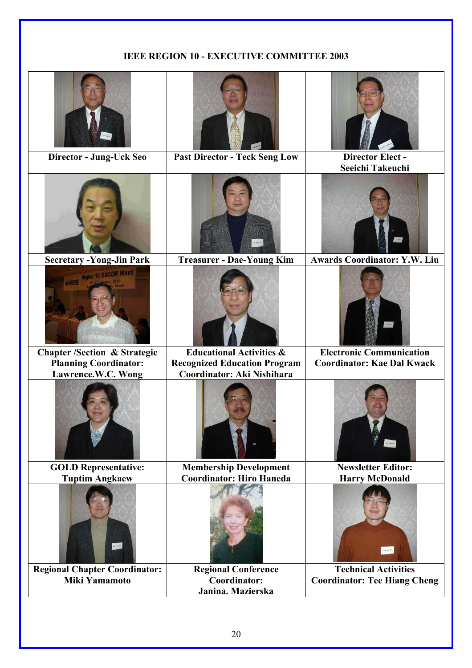## **IEEE REGION 10 - EXECUTIVE COMMITTEE 2003**

| Director - Jung-Uck Seo                 | <b>Past Director - Teck Seng Low</b> | <b>Director Elect -</b>             |
|-----------------------------------------|--------------------------------------|-------------------------------------|
|                                         |                                      | Seeichi Takeuchi                    |
|                                         |                                      |                                     |
| <b>Secretary - Yong-Jin Park</b>        | <b>Treasurer - Dae-Young Kim</b>     | <b>Awards Coordinator: Y.W. Liu</b> |
| <b>NIEEE</b> Region 10 EXCOM Meet       |                                      |                                     |
| <b>Chapter /Section &amp; Strategic</b> | <b>Educational Activities &amp;</b>  | <b>Electronic Communication</b>     |
| <b>Planning Coordinator:</b>            | <b>Recognized Education Program</b>  | <b>Coordinator: Kae Dal Kwack</b>   |
| Lawrence.W.C. Wong                      | Coordinator: Aki Nishihara           |                                     |
|                                         |                                      |                                     |
| <b>GOLD Representative:</b>             | <b>Membership Development</b>        | <b>Newsletter Editor:</b>           |
| <b>Tuptim Angkaew</b>                   | <b>Coordinator: Hiro Haneda</b>      | <b>Harry McDonald</b>               |
|                                         |                                      | and less                            |
| <b>Regional Chapter Coordinator:</b>    | <b>Regional Conference</b>           | <b>Technical Activities</b>         |
| <b>Miki Yamamoto</b>                    | Coordinator:                         | <b>Coordinator: Tee Hiang Cheng</b> |
|                                         | Janina. Mazierska                    |                                     |
|                                         |                                      |                                     |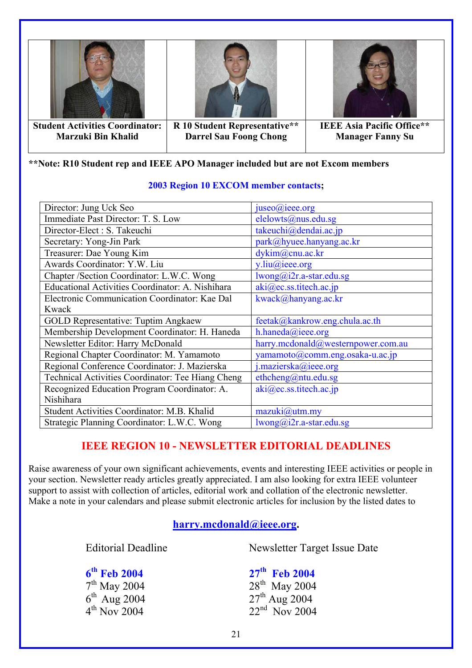

**\*\*Note: R10 Student rep and IEEE APO Manager included but are not Excom members** 

| Director: Jung Uck Seo                            | juseo@ieee.org                     |  |
|---------------------------------------------------|------------------------------------|--|
| Immediate Past Director: T. S. Low                | elelowts@nus.edu.sg                |  |
| Director-Elect : S. Takeuchi                      | takeuchi@dendai.ac.jp              |  |
| Secretary: Yong-Jin Park                          | park@hyuee.hanyang.ac.kr           |  |
| Treasurer: Dae Young Kim                          | dykim@cnu.ac.kr                    |  |
| Awards Coordinator: Y.W. Liu                      | $y$ .liu@ieee.org                  |  |
| Chapter /Section Coordinator: L.W.C. Wong         | lwong@i2r.a-star.edu.sg            |  |
| Educational Activities Coordinator: A. Nishihara  | aki@ec.ss.titech.ac.jp             |  |
| Electronic Communication Coordinator: Kae Dal     | kwack@hanyang.ac.kr                |  |
| Kwack                                             |                                    |  |
| <b>GOLD Representative: Tuptim Angkaew</b>        | feetak@kankrow.eng.chula.ac.th     |  |
| Membership Development Coordinator: H. Haneda     | h.haneda@ieee.org                  |  |
| Newsletter Editor: Harry McDonald                 | harry.mcdonald@westernpower.com.au |  |
| Regional Chapter Coordinator: M. Yamamoto         | yamamoto@comm.eng.osaka-u.ac.jp    |  |
| Regional Conference Coordinator: J. Mazierska     | j.mazierska@ieee.org               |  |
| Technical Activities Coordinator: Tee Hiang Cheng | ethcheng@ntu.edu.sg                |  |
| Recognized Education Program Coordinator: A.      | aki@ec.ss.titech.ac.jp             |  |
| Nishihara                                         |                                    |  |
| Student Activities Coordinator: M.B. Khalid       | $maxuki@$ utm.my                   |  |
| Strategic Planning Coordinator: L.W.C. Wong       | $lwong@i2r.a-star.edu.sg$          |  |

### **2003 Region 10 EXCOM member contacts;**

# **IEEE REGION 10 - NEWSLETTER EDITORIAL DEADLINES**

Raise awareness of your own significant achievements, events and interesting IEEE activities or people in your section. Newsletter ready articles greatly appreciated. I am also looking for extra IEEE volunteer support to assist with collection of articles, editorial work and collation of the electronic newsletter. Make a note in your calendars and please submit electronic articles for inclusion by the listed dates to

## **[harry.mcdonald@ieee.org.](mailto:harry.mcdonald@ieee.org)**

Editorial Deadline Newsletter Target Issue Date

**6<sup>th</sup> Feb 2004** 27<sup>th</sup> **Feb 2004** 28<sup>th</sup> May 2004

 $7^{\text{th}}$  May 2004<br>  $6^{\text{th}}$  Aug 2004<br>  $27^{\text{th}}$  Aug 2004<br>  $27^{\text{th}}$  Aug 2004  $6^{th}$  Aug 2004<br>  $4^{th}$  Nov 2004<br>  $22^{nd}$  Nov 2004<br>  $22^{nd}$  Nov 2004  $22<sup>nd</sup>$  Nov 2004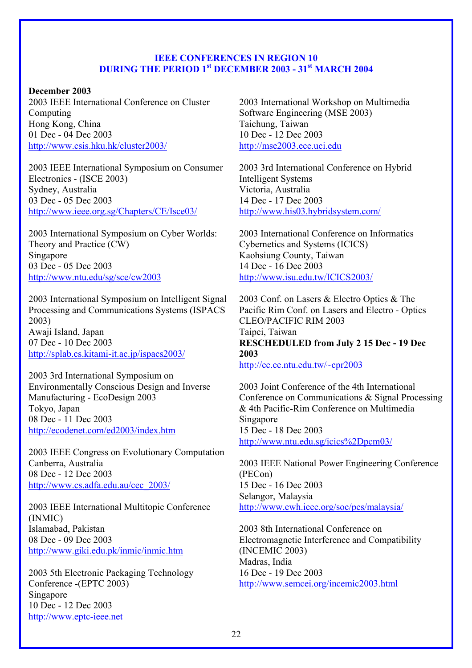### **IEEE CONFERENCES IN REGION 10 DURING THE PERIOD 1st DECEMBER 2003 - 31st MARCH 2004**

### **December 2003**

2003 IEEE International Conference on Cluster Computing Hong Kong, China 01 Dec - 04 Dec 2003 <http://www.csis.hku.hk/cluster2003/>

2003 IEEE International Symposium on Consumer Electronics - (ISCE 2003) Sydney, Australia 03 Dec - 05 Dec 2003 <http://www.ieee.org.sg/Chapters/CE/Isce03/>

2003 International Symposium on Cyber Worlds: Theory and Practice (CW) Singapore 03 Dec - 05 Dec 2003 <http://www.ntu.edu/sg/sce/cw2003>

2003 International Symposium on Intelligent Signal Processing and Communications Systems (ISPACS 2003) Awaji Island, Japan 07 Dec - 10 Dec 2003 <http://splab.cs.kitami-it.ac.jp/ispacs2003/>

2003 3rd International Symposium on Environmentally Conscious Design and Inverse Manufacturing - EcoDesign 2003 Tokyo, Japan 08 Dec - 11 Dec 2003 <http://ecodenet.com/ed2003/index.htm>

2003 IEEE Congress on Evolutionary Computation Canberra, Australia 08 Dec - 12 Dec 2003 [http://www.cs.adfa.edu.au/cec\\_2003/](http://www.cs.adfa.edu.au/cec_2003/)

2003 IEEE International Multitopic Conference (INMIC) Islamabad, Pakistan 08 Dec - 09 Dec 2003 <http://www.giki.edu.pk/inmic/inmic.htm>

2003 5th Electronic Packaging Technology Conference -(EPTC 2003) Singapore 10 Dec - 12 Dec 2003 [http://www.eptc-ieee.net](http://www.eptc-ieee.net/)

2003 International Workshop on Multimedia Software Engineering (MSE 2003) Taichung, Taiwan 10 Dec - 12 Dec 2003 [http://mse2003.ece.uci.edu](http://mse2003.ece.uci.edu/)

2003 3rd International Conference on Hybrid Intelligent Systems Victoria, Australia 14 Dec - 17 Dec 2003 <http://www.his03.hybridsystem.com/>

2003 International Conference on Informatics Cybernetics and Systems (ICICS) Kaohsiung County, Taiwan 14 Dec - 16 Dec 2003 <http://www.isu.edu.tw/ICICS2003/>

2003 Conf. on Lasers & Electro Optics & The Pacific Rim Conf. on Lasers and Electro - Optics CLEO/PACIFIC RIM 2003 Taipei, Taiwan **RESCHEDULED from July 2 15 Dec - 19 Dec 2003** 

<http://cc.ee.ntu.edu.tw/~cpr2003>

2003 Joint Conference of the 4th International Conference on Communications & Signal Processing & 4th Pacific-Rim Conference on Multimedia **Singapore** 15 Dec - 18 Dec 2003 <http://www.ntu.edu.sg/icics%2Dpcm03/>

2003 IEEE National Power Engineering Conference (PECon) 15 Dec - 16 Dec 2003 Selangor, Malaysia <http://www.ewh.ieee.org/soc/pes/malaysia/>

2003 8th International Conference on Electromagnetic Interference and Compatibility (INCEMIC 2003) Madras, India 16 Dec - 19 Dec 2003 <http://www.semcei.org/incemic2003.html>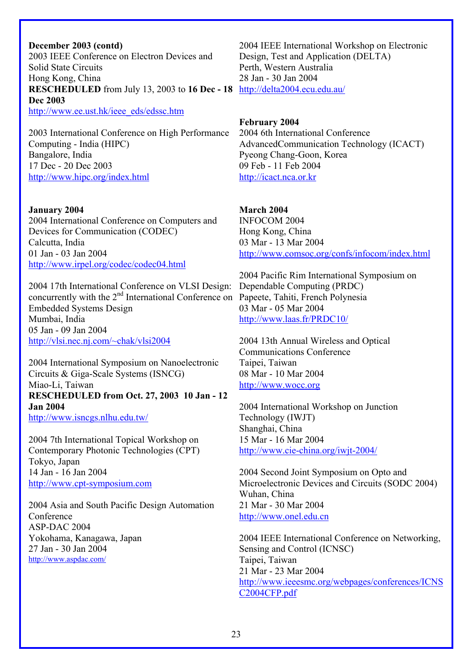#### **December 2003 (contd)**

2003 IEEE Conference on Electron Devices and Solid State Circuits Hong Kong, China **RESCHEDULED** from July 13, 2003 to 16 Dec - 18 <http://delta2004.ecu.edu.au/> **Dec 2003**  [http://www.ee.ust.hk/ieee\\_eds/edssc.htm](http://www.ee.ust.hk/ieee_eds/edssc.htm)

2003 International Conference on High Performance Computing - India (HIPC) Bangalore, India 17 Dec - 20 Dec 2003 <http://www.hipc.org/index.html>

#### **January 2004**

2004 International Conference on Computers and Devices for Communication (CODEC) Calcutta, India 01 Jan - 03 Jan 2004 <http://www.irpel.org/codec/codec04.html>

2004 17th International Conference on VLSI Design: concurrently with the 2<sup>nd</sup> International Conference on Papeete, Tahiti, French Polynesia Embedded Systems Design Mumbai, India 05 Jan - 09 Jan 2004 <http://vlsi.nec.nj.com/~chak/vlsi2004>

2004 International Symposium on Nanoelectronic Circuits & Giga-Scale Systems (ISNCG) Miao-Li, Taiwan **RESCHEDULED from Oct. 27, 2003 10 Jan - 12 Jan 2004**  <http://www.isncgs.nlhu.edu.tw/>

2004 7th International Topical Workshop on Contemporary Photonic Technologies (CPT) Tokyo, Japan 14 Jan - 16 Jan 2004 [http://www.cpt-symposium.com](http://www.cpt-symposium.com/)

2004 Asia and South Pacific Design Automation Conference ASP-DAC 2004 Yokohama, Kanagawa, Japan 27 Jan - 30 Jan 2004 <http://www.aspdac.com/>

2004 IEEE International Workshop on Electronic Design, Test and Application (DELTA) Perth, Western Australia 28 Jan - 30 Jan 2004

**February 2004**  2004 6th International Conference AdvancedCommunication Technology (ICACT) Pyeong Chang-Goon, Korea 09 Feb - 11 Feb 2004 [http://icact.nca.or.kr](http://icact.nca.or.kr/) 

### **March 2004**

INFOCOM 2004 Hong Kong, China 03 Mar - 13 Mar 2004 <http://www.comsoc.org/confs/infocom/index.html>

2004 Pacific Rim International Symposium on Dependable Computing (PRDC) 03 Mar - 05 Mar 2004 <http://www.laas.fr/PRDC10/>

2004 13th Annual Wireless and Optical Communications Conference Taipei, Taiwan 08 Mar - 10 Mar 2004 [http://www.wocc.org](http://www.wocc.org/) 

2004 International Workshop on Junction Technology (IWJT) Shanghai, China 15 Mar - 16 Mar 2004 <http://www.cie-china.org/iwjt-2004/>

2004 Second Joint Symposium on Opto and Microelectronic Devices and Circuits (SODC 2004) Wuhan, China 21 Mar - 30 Mar 2004 [http://www.onel.edu.cn](http://www.onel.edu.cn/) 

2004 IEEE International Conference on Networking, Sensing and Control (ICNSC) Taipei, Taiwan 21 Mar - 23 Mar 2004 [http://www.ieeesmc.org/webpages/conferences/ICNS](http://www.ieeesmc.org/webpages/conferences/ICNSC2004CFP.pdf) [C2004CFP.pdf](http://www.ieeesmc.org/webpages/conferences/ICNSC2004CFP.pdf)